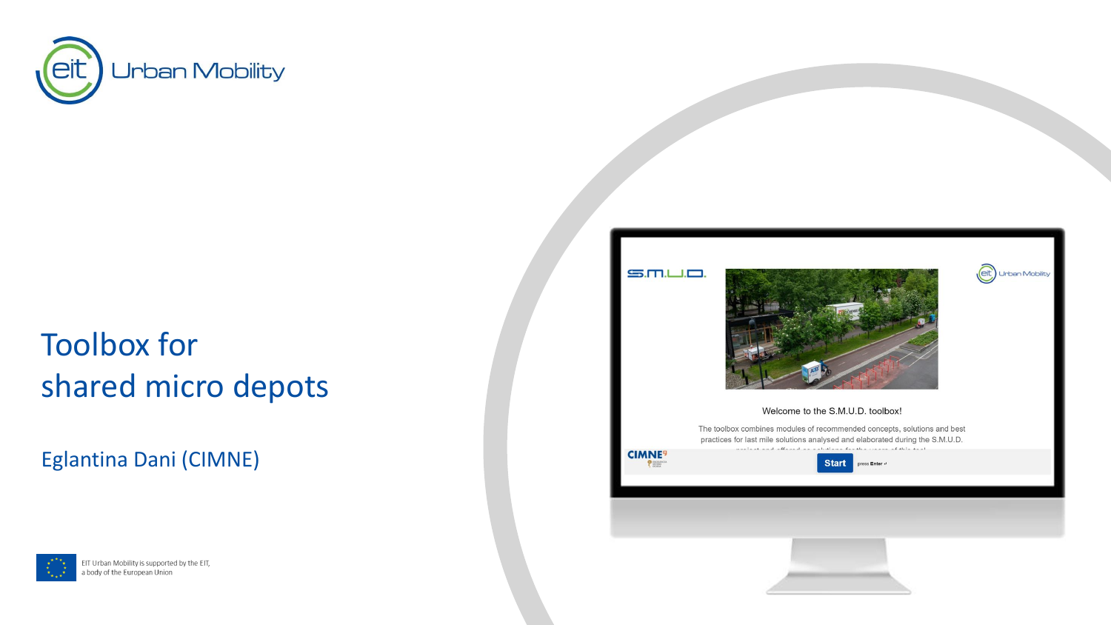

# Toolbox for shared micro depots

Eglantina Dani (CIMNE)



EIT Urban Mobility is supported by the EIT, a body of the European Union





eit) Urban Mobility

#### Welcome to the S.M.U.D. toolbox!

The toolbox combines modules of recommended concepts, solutions and best practices for last mile solutions analysed and elaborated during the S.M.U.D. contrat coal offered as extrations for the concerns of this tool



**Start** press Enter

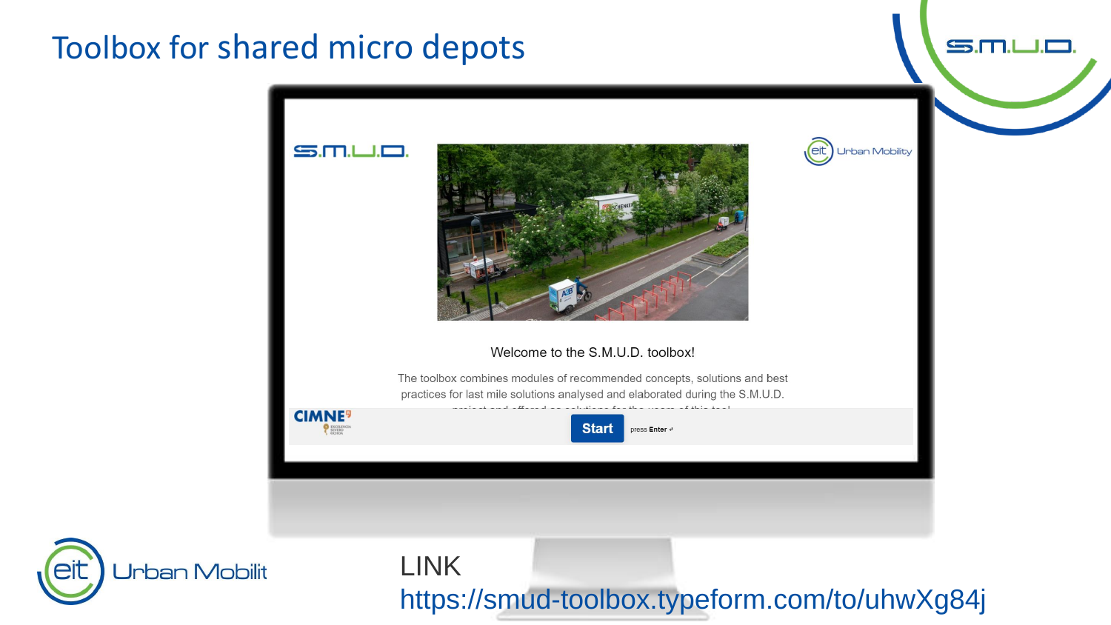### Toolbox for shared micro depots

eit



 $S.M.L.D$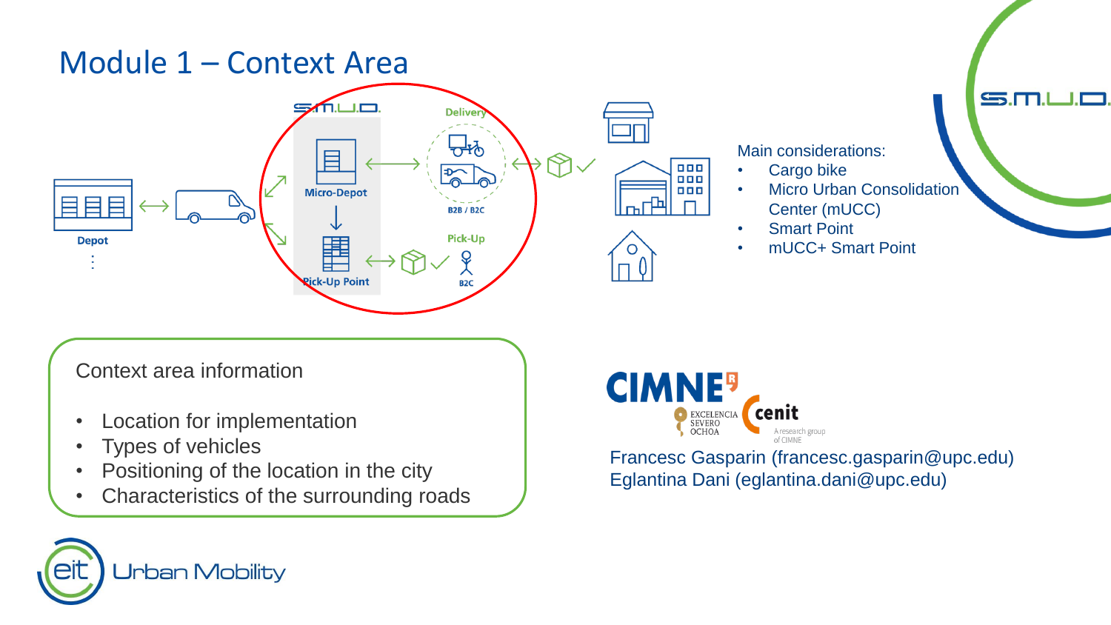#### Module 1 – Context Area



#### Main considerations:

- Cargo bike
- **Micro Urban Consolidation**

 $\mathbf{S}$ .M

- Center (mUCC)
- Smart Point
- mUCC+ Smart Point

Context area information

- Location for implementation
- Types of vehicles
- Positioning of the location in the city
- Characteristics of the surrounding roads



Francesc Gasparin (francesc.gasparin@upc.edu) Eglantina Dani (eglantina.dani@upc.edu)

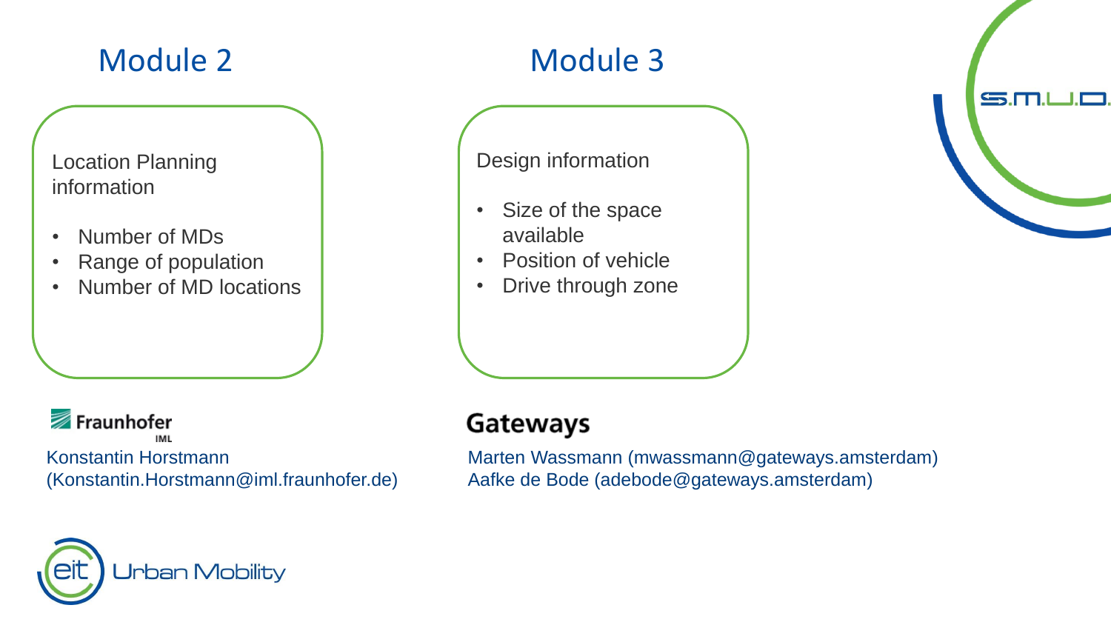## Module 2

## Module 3

Location Planning information

- Number of MDs
- Range of population
- Number of MD locations

Fraunhofer IMI.

Konstantin Horstmann (Konstantin.Horstmann@iml.fraunhofer.de)

**Jrban Mobility** 

#### Design information

- $\mathbf{I}$ • Size of the space available
- Position of vehicle
- Drive through zone

#### **Gateways**

Marten Wassmann (mwassmann@gateways.amsterdam) Aafke de Bode (adebode@gateways.amsterdam)

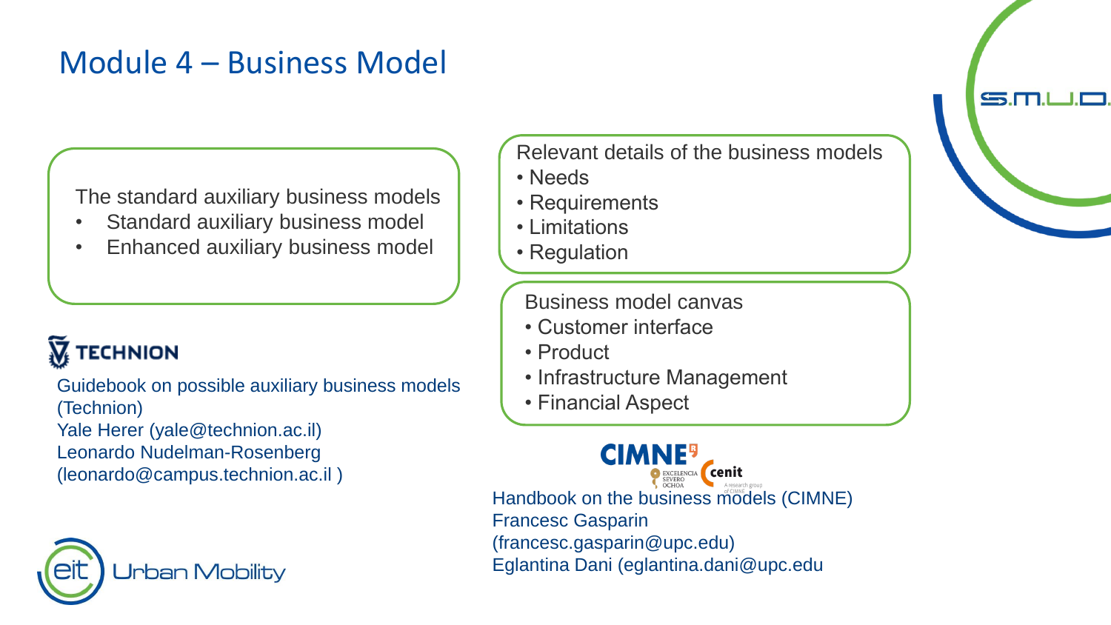#### Module 4 – Business Model

The standard auxiliary business models

- Standard auxiliary business model
- Enhanced auxiliary business model

# **TECHNION**

Guidebook on possible auxiliary business models (Technion) Yale Herer (yale@technion.ac.il) Leonardo Nudelman-Rosenberg (leonardo@campus.technion.ac.il )



Relevant details of the business models

- Needs
- Requirements
- Limitations
- Regulation

Business model canvas

- Customer interface
- Product
- Infrastructure Management
- Financial Aspect

**CIMNE<sup>9</sup>** Handbook on the business models (CIMNE) Francesc Gasparin (francesc.gasparin@upc.edu) Eglantina Dani (eglantina.dani@upc.edu